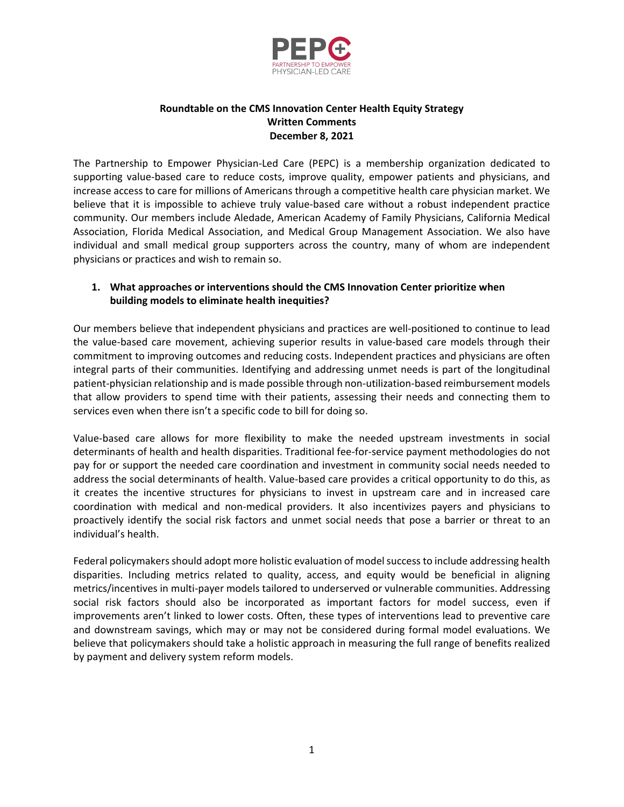

## **Roundtable on the CMS Innovation Center Health Equity Strategy Written Comments December 8, 2021**

The Partnership to Empower Physician-Led Care (PEPC) is a membership organization dedicated to supporting value-based care to reduce costs, improve quality, empower patients and physicians, and increase access to care for millions of Americans through a competitive health care physician market. We believe that it is impossible to achieve truly value-based care without a robust independent practice community. Our members include Aledade, American Academy of Family Physicians, California Medical Association, Florida Medical Association, and Medical Group Management Association. We also have individual and small medical group supporters across the country, many of whom are independent physicians or practices and wish to remain so.

## **1. What approaches or interventions should the CMS Innovation Center prioritize when building models to eliminate health inequities?**

Our members believe that independent physicians and practices are well-positioned to continue to lead the value-based care movement, achieving superior results in value-based care models through their commitment to improving outcomes and reducing costs. Independent practices and physicians are often integral parts of their communities. Identifying and addressing unmet needs is part of the longitudinal patient-physician relationship and is made possible through non-utilization-based reimbursement models that allow providers to spend time with their patients, assessing their needs and connecting them to services even when there isn't a specific code to bill for doing so.

Value-based care allows for more flexibility to make the needed upstream investments in social determinants of health and health disparities. Traditional fee-for-service payment methodologies do not pay for or support the needed care coordination and investment in community social needs needed to address the social determinants of health. Value-based care provides a critical opportunity to do this, as it creates the incentive structures for physicians to invest in upstream care and in increased care coordination with medical and non-medical providers. It also incentivizes payers and physicians to proactively identify the social risk factors and unmet social needs that pose a barrier or threat to an individual's health.

Federal policymakers should adopt more holistic evaluation of model success to include addressing health disparities. Including metrics related to quality, access, and equity would be beneficial in aligning metrics/incentives in multi-payer models tailored to underserved or vulnerable communities. Addressing social risk factors should also be incorporated as important factors for model success, even if improvements aren't linked to lower costs. Often, these types of interventions lead to preventive care and downstream savings, which may or may not be considered during formal model evaluations. We believe that policymakers should take a holistic approach in measuring the full range of benefits realized by payment and delivery system reform models.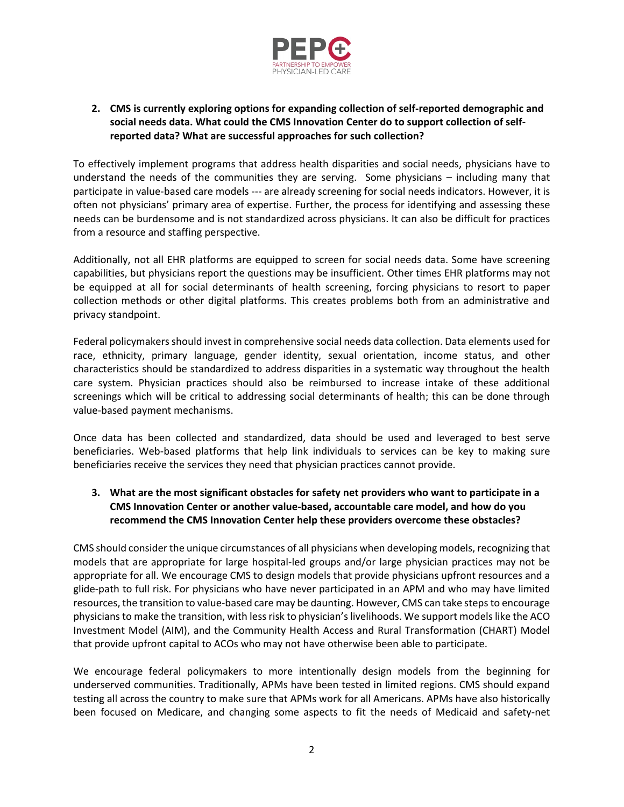

## **2. CMS is currently exploring options for expanding collection of self-reported demographic and social needs data. What could the CMS Innovation Center do to support collection of selfreported data? What are successful approaches for such collection?**

To effectively implement programs that address health disparities and social needs, physicians have to understand the needs of the communities they are serving. Some physicians – including many that participate in value-based care models --- are already screening for social needs indicators. However, it is often not physicians' primary area of expertise. Further, the process for identifying and assessing these needs can be burdensome and is not standardized across physicians. It can also be difficult for practices from a resource and staffing perspective.

Additionally, not all EHR platforms are equipped to screen for social needs data. Some have screening capabilities, but physicians report the questions may be insufficient. Other times EHR platforms may not be equipped at all for social determinants of health screening, forcing physicians to resort to paper collection methods or other digital platforms. This creates problems both from an administrative and privacy standpoint.

Federal policymakers should invest in comprehensive social needs data collection. Data elements used for race, ethnicity, primary language, gender identity, sexual orientation, income status, and other characteristics should be standardized to address disparities in a systematic way throughout the health care system. Physician practices should also be reimbursed to increase intake of these additional screenings which will be critical to addressing social determinants of health; this can be done through value-based payment mechanisms.

Once data has been collected and standardized, data should be used and leveraged to best serve beneficiaries. Web-based platforms that help link individuals to services can be key to making sure beneficiaries receive the services they need that physician practices cannot provide.

## **3. What are the most significant obstacles for safety net providers who want to participate in a CMS Innovation Center or another value-based, accountable care model, and how do you recommend the CMS Innovation Center help these providers overcome these obstacles?**

CMS should consider the unique circumstances of all physicians when developing models, recognizing that models that are appropriate for large hospital-led groups and/or large physician practices may not be appropriate for all. We encourage CMS to design models that provide physicians upfront resources and a glide-path to full risk. For physicians who have never participated in an APM and who may have limited resources, the transition to value-based care may be daunting. However, CMS can take steps to encourage physicians to make the transition, with less risk to physician's livelihoods. We support models like the ACO Investment Model (AIM), and the Community Health Access and Rural Transformation (CHART) Model that provide upfront capital to ACOs who may not have otherwise been able to participate.

We encourage federal policymakers to more intentionally design models from the beginning for underserved communities. Traditionally, APMs have been tested in limited regions. CMS should expand testing all across the country to make sure that APMs work for all Americans. APMs have also historically been focused on Medicare, and changing some aspects to fit the needs of Medicaid and safety-net